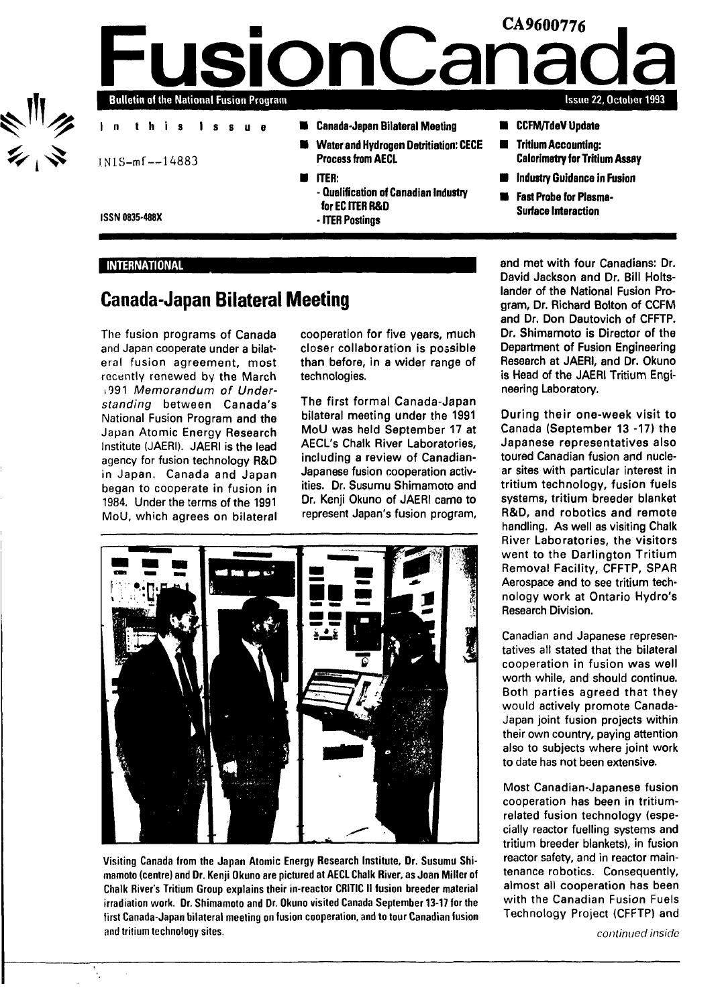

**M** CCFM/TdeV Update

**CA9600776**

Tritium Accounting: Calorimetry for Tritium Assay

**Issue 22, October 1993**

- Industry Guidance in Fusion
- Fast Probe for Plasma-Surface Interaction

**ISSN 0835-488X**

#### INTERNATIONAL

# **Canada-Japan Bilateral Meeting**

The fusion programs of Canada and Japan cooperate under a bilateral fusion agreement, most recently renewed by the March 1991 Memorandum of Understanding between Canada's National Fusion Program and the Japan Atomic Energy Research Institute (JAERI). JAERI is the lead agency for fusion technology R&D in Japan. Canada and Japan began to cooperate in fusion in 1984. Under the terms of the 1991 MoU, which agrees on bilateral

cooperation for five years, much closer collaboration is possible than before, in a wider range of technologies.

The first formal Canada-Japan bilateral meeting under the 1991 MoU was held September 17 at AECL's Chalk River Laboratories, including a review of Canadian-Japanese fusion cooperation activities. Dr. Susumu Shimamoto and Dr. Kenji Okuno of JAERI came to represent Japan's fusion program,



Visiting Canada from the Japan Atomic Energy Research Institute, Dr. Susumu Shimamoto (centre) and Dr. Kenji Okuno are pictured at AECL Chalk River, as Joan Miller of Chalk River's Tritium Group explains their in-reactor CRITIC II fusion breeder material irradiation work. Dr. Shimamoto and Dr. Okuno visited Canada September 13-17 for the first Canada-Japan bilateral meeting on fusion cooperation, and to tour Canadian fusion end tritium technology sites.

and met with four Canadians: Dr. David Jackson and Dr. Bill Holtslander of the National Fusion Program, Dr. Richard Bolton of CCFM and Dr. Don Dautovich of CFFTP. Dr. Shimamoto is Director of the Department of Fusion Engineering Research at JAERI, and Dr. Okuno is Head of the JAERI Tritium Engineering Laboratory.

During their one-week visit to Canada (September 13 -17) the Japanese representatives also toured Canadian fusion and nuclear sites with particular interest in tritium technology, fusion fuels systems, tritium breeder blanket R&D, and robotics and remote handling. As well as visiting Chalk River Laboratories, the visitors went to the Darlington Tritium Removal Facility, CFFTP, SPAR Aerospace and to see tritium technology work at Ontario Hydro's Research Division.

Canadian and Japanese representatives all stated that the bilateral cooperation in fusion was well worth while, and should continue. Both parties agreed that they would actively promote Canada-Japan joint fusion projects within their own country, paying attention also to subjects where joint work to date has not been extensive.

Most Canadian-Japanese fusion cooperation has been in tritiumrelated fusion technology (especially reactor fuelling systems and tritium breeder blankets), in fusion reactor safety, and in reactor maintenance robotics. Consequently, almost all cooperation has been with the Canadian Fusion Fuels Technology Project (CFFTP) and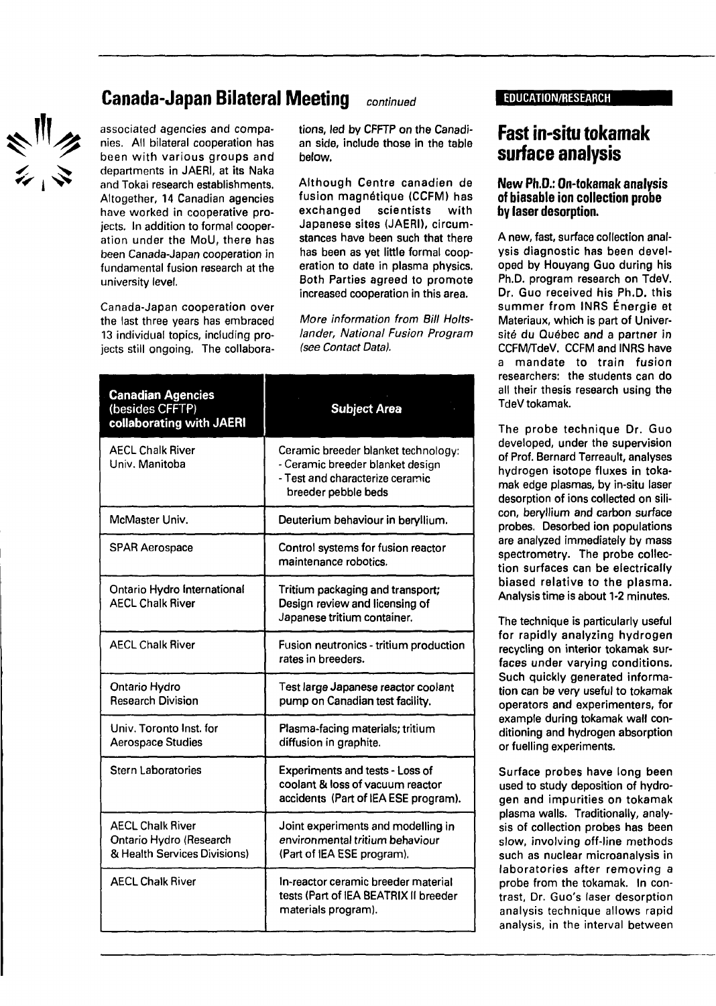# ミニシ

# **Canada-Japan Bilateral Meeting** continued EDUCATION/RESEARCH

associated agencies and companies. All bilateral cooperation has been with various groups and departments in JAERI, at its Naka and Tokai research establishments. Altogether, 14 Canadian agencies have worked in cooperative projects. In addition to formal cooperation under the MoU, there has been Canada-Japan cooperation in fundamental fusion research at the university level.

Canada-Japan cooperation over the last three years has embraced 13 individual topics, including projects still ongoing. The collaborations, led by CFFTP on the Canadian side, include those in the table below.

Although Centre canadien de fusion magnétique (CCFM) has exchanged scientists with Japanese sites (JAERI), circumstances have been such that there has been as yet little formal cooperation to date in plasma physics. Both Parties agreed to promote increased cooperation in this area.

More information from Bill Holtslander, National Fusion Program (see Contact Data).

| <b>Canadian Agencies</b><br>(besides CFFTP)<br>collaborating with JAERI            | <b>Subject Area</b>                                                                                                               |
|------------------------------------------------------------------------------------|-----------------------------------------------------------------------------------------------------------------------------------|
| <b>AECL Chalk River</b><br>Univ. Manitoba                                          | Ceramic breeder blanket technology:<br>- Ceramic breeder blanket design<br>- Test and characterize ceramic<br>breeder pebble beds |
| McMaster Univ.                                                                     | Deuterium behaviour in beryllium.                                                                                                 |
| <b>SPAR Aerospace</b>                                                              | Control systems for fusion reactor<br>maintenance robotics.                                                                       |
| Ontario Hydro International<br><b>AECL Chalk River</b>                             | Tritium packaging and transport;<br>Design review and licensing of<br>Japanese tritium container.                                 |
| <b>AECL Chalk River</b>                                                            | Fusion neutronics - tritium production<br>rates in breeders.                                                                      |
| Ontario Hydro<br><b>Research Division</b>                                          | Test large Japanese reactor coolant<br>pump on Canadian test facility.                                                            |
| Univ. Toronto Inst. for<br>Aerospace Studies                                       | Plasma-facing materials; tritium<br>diffusion in graphite.                                                                        |
| <b>Stern Laboratories</b>                                                          | Experiments and tests - Loss of<br>coolant & loss of vacuum reactor<br>accidents (Part of IEA ESE program).                       |
| <b>AECL Chalk River</b><br>Ontario Hydro (Research<br>& Health Services Divisions) | Joint experiments and modelling in<br>environmental tritium behaviour<br>(Part of IEA ESE program).                               |
| <b>AECL Chalk River</b>                                                            | In-reactor ceramic breeder material<br>tests (Part of IEA BEATRIX II breeder<br>materials program).                               |

# **Fast in-situ tokamak surface analysis**

#### **New Ph.D.: On-tokamak analysis of biasable ion collection probe by laser desorption.**

A new, fast, surface collection analysis diagnostic has been developed by Houyang Guo during his Ph.D. program research on TdeV. Dr. Guo received his Ph.D. this summer from INRS Énergie et Materiaux, which is part of Université du Québec and a partner in CCFM/TdeV. CCFM and INRS have a mandate to train fusion researchers: the students can do all their thesis research using the TdeV tokamak.

The probe technique Dr. Guo developed, under the supervision of Prof. Bernard Terreault, analyses hydrogen isotope fluxes in tokamak edge plasmas, by in-situ laser desorption of ions collected on silicon, beryllium and carbon surface probes. Desorbed ion populations are analyzed immediately by mass spectrometry. The probe collection surfaces can be electrically biased relative to the plasma. Analysis time is about 1-2 minutes.

The technique is particularly useful for rapidly analyzing hydrogen recycling on interior tokamak surfaces under varying conditions. Such quickly generated information can be very useful to tokamak operators and experimenters, for example during tokamak wall conditioning and hydrogen absorption or fuelling experiments.

Surface probes have long been used to study deposition of hydrogen and impurities on tokamak plasma walls. Traditionally, analysis of collection probes has been slow, involving off-line methods such as nuclear microanalysis in laboratories after removing a probe from the tokamak. In contrast, Dr. Guo's laser desorption analysis technique allows rapid analysis, in the interval between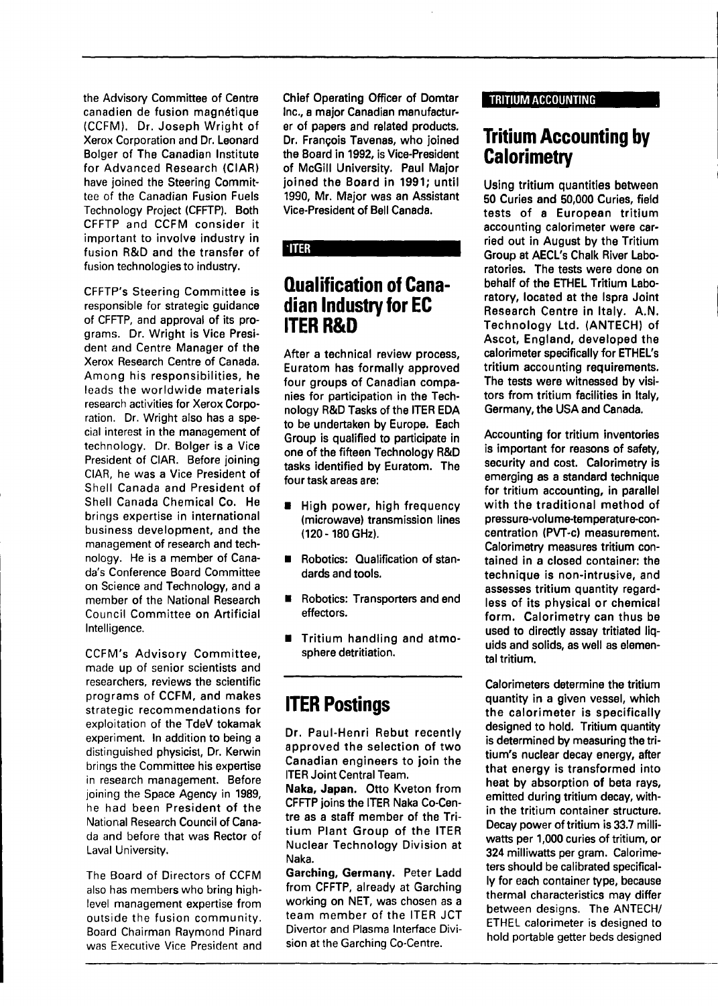the Advisory Committee of Centre canadien de fusion magnétique (CCFM). Dr. Joseph Wright of Xerox Corporation and Dr. Leonard Bolger of The Canadian Institute for Advanced Research (CIAR) have joined the Steering Committee of the Canadian Fusion Fuels Technology Project (CFFTP). Both CFFTP and CCFM consider it important to involve industry in fusion R&D and the transfer of fusion technologies to industry.

CFFTP's Steering Committee is responsible for strategic guidance of CFFTP, and approval of its programs. Dr. Wright is Vice President and Centre Manager of the Xerox Research Centre of Canada. Among his responsibilities, he leads the worldwide materials research activities for Xerox Corporation. Dr. Wright also has a special interest in the management of technology. Dr. Bolger is a Vice President of CIAR. Before joining CIAR, he was a Vice President of Shell Canada and President of Shell Canada Chemical Co. He brings expertise in international business development, and the management of research and technology. He is a member of Canada's Conference Board Committee on Science and Technology, and a member of the National Research Council Committee on Artificial Intelligence.

CCFM's Advisory Committee, made up of senior scientists and researchers, reviews the scientific programs of CCFM, and makes strategic recommendations for exploitation of the TdeV tokamak experiment. In addition to being a distinguished physicist, Dr. Kerwin brings the Committee his expertise in research management. Before joining the Space Agency in 1989, he had been President of the National Research Council of Canada and before that was Rector of Laval University.

The Board of Directors of CCFM also has members who bring highlevel management expertise from outside the fusion community. Board Chairman Raymond Pinard was Executive Vice President and Chief Operating Officer of Domtar Inc., a major Canadian manufacturer of papers and related products. Dr. François Tavenas, who joined the Board in 1992, is Vice-President of McGill University. Paul Major joined the Board in 1991; until 1990, Mr. Major was an Assistant Vice-President of Bell Canada.

## **ITER**

# **Qualification of Canadian Industry for EC ITER R&D**

After a technical review process, Euratom has formally approved four groups of Canadian companies for participation in the Technology R&D Tasks of the ITER EDA to be undertaken by Europe. Each Group is qualified to participate in one of the fifteen Technology R&D tasks identified by Euratom. The four task areas are:

- **E** High power, high frequency (microwave) transmission lines (120-180 GHz).
- **Robotics: Qualification of stan**dards and tools.
- **E** Robotics: Transporters and end effectors.
- Tritium handling and atmosphere detritiation.

# **ITER Postings**

Dr. Paul-Henri Rebut recently approved the selection of two Canadian engineers to join the ITER Joint Central Team.

**Naka, Japan.** Otto Kveton from CFFTP joins the ITER Naka Co-Centre as a staff member of the Tritium Plant Group of the ITER Nuclear Technology Division at Naka.

**Garching, Germany.** Peter Ladd from CFFTP, already at Garching working on NET, was chosen as a team member of the ITER JCT Divertor and Plasma Interface Division at the Garching Co-Centre.

#### TRITIUM ACCOUNTING

# **Tritium Accounting by Calorimetry**

Using tritium quantities between 50 Curies and 50,000 Curies, field tests of a European tritium accounting calorimeter were carried out in August by the Tritium Group at AECL's Chalk River Laboratories. The tests were done on behalf of the ETHEL Tritium Laboratory, located at the Ispra Joint Research Centre in Italy. A.N. Technology Ltd. (ANTECH) of Ascot, England, developed the calorimeter specifically for ETHEL's tritium accounting requirements. The tests were witnessed by visitors from tritium facilities in Italy, Germany, the USA and Canada.

Accounting for tritium inventories is important for reasons of safety, security and cost. Calorimetry is emerging as a standard technique for tritium accounting, in parallel with the traditional method of pressure-volume-temperature-concentration (PVT-c) measurement. Calorimetry measures tritium contained in **a** closed container: the technique is non-intrusive, and assesses tritium quantity regardless of its physical or chemical form. Calorimetry can thus be used to directly assay tritiated liquids and solids, as well as elemental tritium.

Calorimeters determine the tritium quantity in a given vessel, which the calorimeter is specifically designed to hold. Tritium quantity is determined by measuring the tritium's nuclear decay energy, after that energy is transformed into heat by absorption of beta rays, emitted during tritium decay, within the tritium container structure. Decay power of tritium is 33.7 milliwatts per 1,000 curies of tritium, or 324 milliwatts per gram. Calorimeters should be calibrated specifically for each container type, because thermal characteristics may differ between designs. The ANTECH/ ETHEL calorimeter is designed to hold portable getter beds designed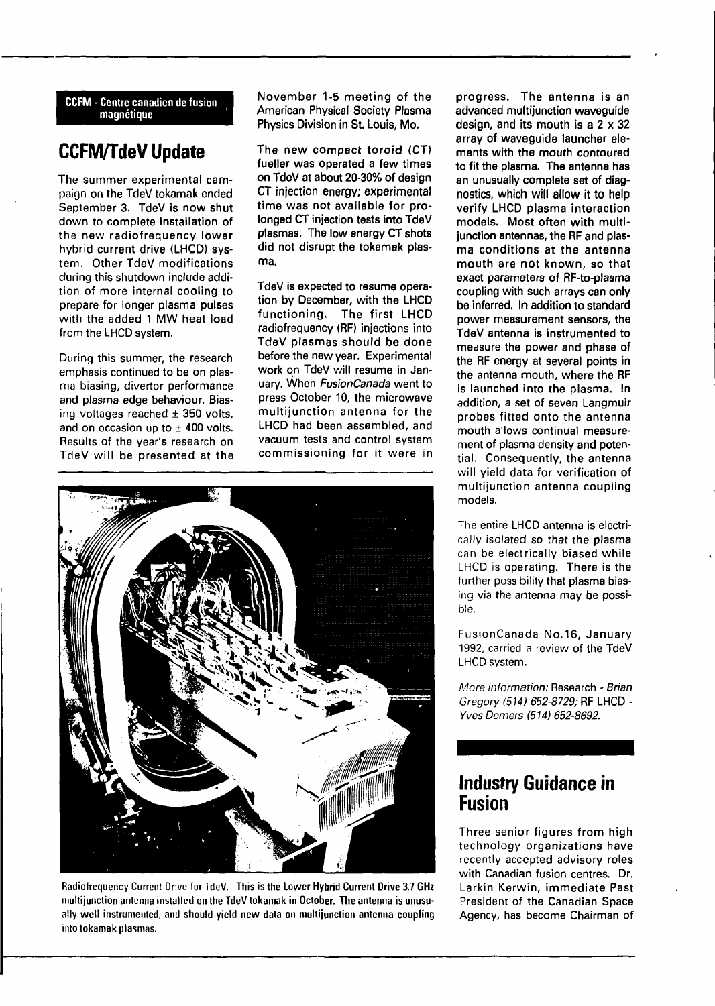**CCFM - Centre canadien de fusion magnétique**

# **CCFM/TdeV Update**

**The summer experimental campaign on the TdeV tokamak ended September 3. TdeV is now shut** down **to complete installation of the new radiofrequency lower** hybrid current drive **(LHCD) system. Other TdeV modifications** during this shutdown **include** addition of more **internal cooling to** prepare **for** longer **plasma pulses** with the added **1** MW **heat load** from the **LHCD** system.

During this **summer, the research** emphasis continued to be on plasma biasing, divertor performance and plasma edge behaviour. Biasing voltages reached ± **350** volts, and on occasion up to  $\pm$  400 volts. Results of the year's research on TdeV will be presented **at the** **November 1-5 meeting of the American Physical Society Plasma Physics Division in St. Louis, Mo.**

**The new compact toroid (CT) fueller was operated a few times on TdeV at about 20-30% of design CT injection energy; experimental time was not available for prolonged CT injection tests into TdeV plasmas. The low energy CT shots did not disrupt the tokamak plasma.**

**TdeV is expected to resume operation by December, with the LHCD functioning. The first LHCD radiofrequency (RF) injections into TdeV plasmas should be done before the new year. Experimental work on TdeV will resume in January. When FusionCanada went to press October 10, the microwave multijunction antenna for the LHCD had been assembled, and** vacuum tests and control system commissioning for it were in



Radiofrequency Current Drive for TdeV. **This** is **the Lower Hybrid Current Drive 3.7 GHz multijunction antenna installed on the TdeV tokamak in October. The antenna is unusually well instrumented, and should yield new data on multijunction antenna coupling into tokamak plasmas.**

**progress. The antenna is an advanced multijunction waveguide design, and its mouth is a 2 x 32 array of waveguide launcher elements with the mouth contoured to fit the plasma. The antenna has an unusually complete set of diagnostics, which will allow it to help verify LHCD plasma interaction models. Most often with multijunction antennas, the RF and plasma conditions at the antenna mouth are not known, so that exact parameters of RF-to-plasma coupling with such arrays can only be inferred. In addition to standard power measurement sensors, the TdeV antenna is instrumented to measure the power and phase of the RF energy at several points in the antenna mouth, where the RF is launched into the plasma. In addition, a set of seven Langmuir probes fitted onto the antenna mouth allows continual measurement of plasma density and potential. Consequently, the antenna** will yield **data for verification of multijunction antenna coupling** models.

The entire **LHCD** antenna is electrically isolated so **that the plasma** can be electrically biased while LHCD is **operating. There is the further** possibility **that plasma** biasing via the antenna may be possible.

FusionCanada **No.16, January** 1992, carried a **review of the TdeV** LHCD system.

More information: Research - Brian Gregory (514) 652-8729; **RF LHCD** - Yves Demers **<514) 652-8692.**

# **Industry Guidance in Fusion**

**Three senior figures from high** technology **organizations have** recently accepted **advisory roles** with Canadian **fusion centres. Dr.** Larkin **Kerwin, immediate Past** President of the Canadian Space Agency, has become Chairman of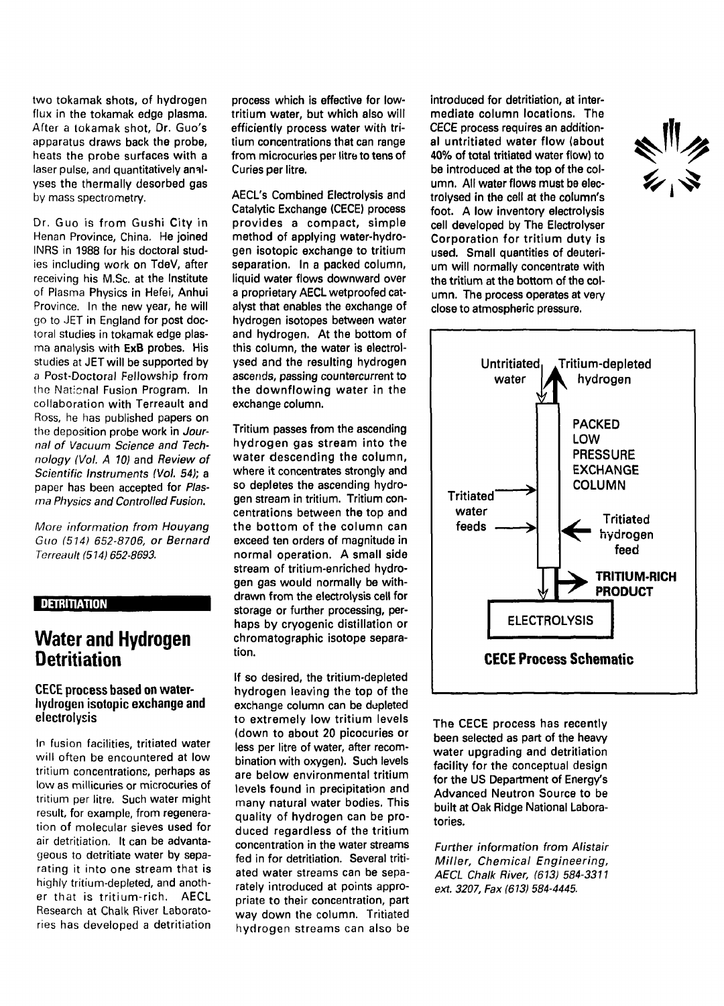two tokamak shots, of hydrogen flux in the tokamak edge plasma. After a tokamak shot, Dr. Guo's apparatus draws back the probe, heats the probe surfaces with a laser pulse, and quantitatively analyses the thermally desorbed gas by mass spectrometry.

Dr. Guo is from Gushi City in Henan Province, China. He joined INRS in 1988 for his doctoral studies including work on TdeV, after receiving his M.Sc. at the Institute of Plasma Physics in Hefei, Anhui Province. In the new year, he will go to JET in England for post doctoral studies in tokamak edge plasma analysis with ExB probes. His studies at JET will be supported by a Post-Doctoral Fellowship from the National Fusion Program. In collaboration with Terreault and Ross, he has published papers on the deposition probe work in Journal of Vacuum Science and Technology (Vol. A 10) and Review of Scientific Instruments (Vol. 54); a paper has been accepted for Plasma Physics and Controlled Fusion.

More information from Houyang Guo (514) 652-8706, or Bernard Terreault (514) 652-8693.

## **DETRITIATION**

# **Water and Hydrogen Detritiation**

#### **CECE process based on waterhydrogen isotopic exchange and electrolysis**

In fusion facilities, tritiated water will often be encountered at low tritium concentrations, perhaps as low as millicuries or microcuries of tritium per litre. Such water might result, for example, from regeneration of molecular sieves used for air detritiation. It can be advantageous to detritiate water by separating it into one stream that is highly tritium-depleted, and another that is tritium-rich. AECL Research at Chalk River Laboratories has developed a detritiation

process which is effective for lowtritium water, but which also will efficiently process water with tritium concentrations that can range from microcuries per litre to tens of Curies per litre.

AECL's Combined Electrolysis and Catalytic Exchange (CECE) process provides a compact, simple method of applying water-hydrogen isotopic exchange to tritium separation. In a packed column, liquid water flows downward over a proprietary AECL wetproofed catalyst that enables the exchange of hydrogen isotopes between water and hydrogen. At the bottom of this column, the water is electrolysed and the resulting hydrogen ascends, passing countercurrent to the downflowing water in the exchange column.

Tritium passes from the ascending hydrogen gas stream into the water descending the column, where it concentrates strongly and so depletes the ascending hydrogen stream in tritium. Tritium concentrations between the top and the bottom of the column can exceed ten orders of magnitude in normal operation. A small side stream of tritium-enriched hydrogen gas would normally be withdrawn from the electrolysis cell for storage or further processing, perhaps by cryogenic distillation or chromatographic isotope separation.

If so desired, the tritium-depleted hydrogen leaving the top of the exchange column can be depleted to extremely low tritium levels (down to about 20 picocuries or less per litre of water, after recombination with oxygen). Such levels are below environmental tritium levels found in precipitation and many natural water bodies. This quality of hydrogen can be produced regardless of the tritium concentration in the water streams fed in for detritiation. Several tritiated water streams can be separately introduced at points appropriate to their concentration, part way down the column. Tritiated hydrogen streams can also be

introduced for detritiation, at intermediate column locations. The CECE process requires an additional untritiated water flow (about 40% of total tritiated water flow) to be introduced at the top of the column. All water flows must be electrolysed in the cell at the column's foot. A low inventory electrolysis cell developed by The Electrolyser Corporation for tritium duty is used. Small quantities of deuterium will normally concentrate with the tritium at the bottom of the column. The process operates at very close to atmospheric pressure.





The CECE process has recently been selected as part of the heavy water upgrading and detritiation facility for the conceptual design for the US Department of Energy's Advanced Neutron Source to be built at Oak Ridge National Laboratories.

Further information from Alistair Miller, Chemical Engineering, AECL Chalk River, (613) 584-3311 ext. 3207, Fax (613) 584-4445.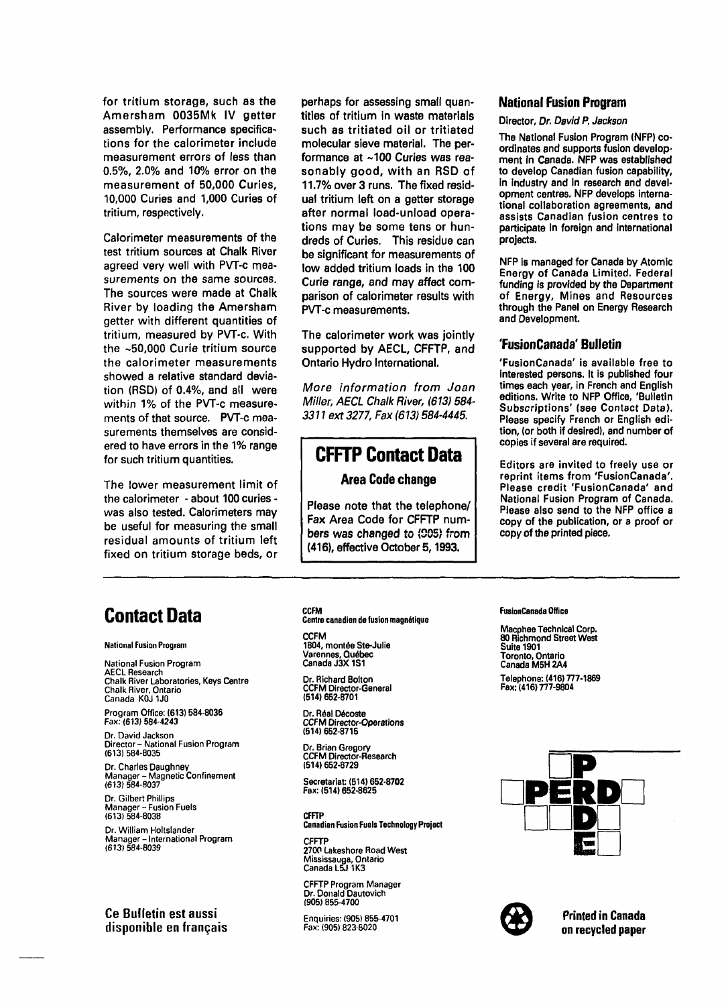for tritium storage, such as the Amersham 0035Mk IV getter assembly. Performance specifications for the calorimeter include measurement errors of less than 0.5%, 2.0% and 10% error on the measurement of 50,000 Curies, 10,000 Curies and 1,000 Curies of tritium, respectively.

Calorimeter measurements of the test tritium sources at Chalk River agreed very well with PVT-c measurements on the same sources. The sources were made at Chalk River by loading the Amersham getter with different quantities of tritium, measured by PVT-c. With the ~50,000 Curie tritium source the calorimeter measurements showed a relative standard deviation (RSD) of 0.4%, and all were within 1% of the PVT-c measurements of that source. PVT-c measurements themselves are considered to have errors in the 1% range for such tritium quantities.

The lower measurement limit of the calorimeter - about 100 curies was also tested. Calorimeters may be useful for measuring the small residual amounts of tritium left fixed on tritium storage beds, or perhaps for assessing small quantities of tritium in waste materials such as tritiated oil or tritiated molecular sieve material. The performance at ~100 Curies was reasonably good, with an RSD of 11.7% over 3 runs. The fixed residual tritium left on a getter storage after normal load-unload operations may be some tens or hundreds of Curies. This residue can be significant for measurements of low added tritium loads in the 100 Curie range, and may affect comparison of calorimeter results with PVT-c measurements.

The calorimeter work was jointly supported by AECL, CFFTP, and Ontario Hydro International.

More information from Joan Miller, AECL Chalk River, (613) 584- 3311 ext 3277, Fax (613) 584-4445.

# **CFFTP Contact Data**

## **Area Code change**

Please note that the telephone/ Fax Area Code for CFFTP numbers was changed to (905) from (416), effective October 5,1993.

### **National Fusion Program**

#### Director, Dr. David P. Jackson

The National Fusion Program (NFP) coordinates and supports fusion development in Canada. NFP was established to develop Canadian fusion capability, in industry and in research and development centres. NFP develops international collaboration agreements, and assists Canadian fusion centres to participate in foreign and international projects.

NFP is managed for Canada by Atomic Energy of Canada Limited. Federal funding is provided by the Department of Energy, Mines and Resources through the Panel on Energy Research and Development.

#### **'FusionCanada' Bulletin**

'FusionCanada' is available free to interested persons. It is published four times each year, in French and English editions. Write to NFP Office, 'Bulletin Subscriptions' (see Contact Data). Please specify French or English edition, (or both if desired), and number of copies if several are required.

Editors are invited to freely use or reprint items from 'FusionCanada'. Please credit 'FusionCanada' and National Fusion Program of Canada. Please also send to the NFP office a copy of the publication, or a proof or copy of the printed piece.

# **Contact Data**

#### **National Fusion Program**

**National Fusion Program AECL Research Chalk River Laboratories, Keys Centre Chalk River, Ontario Canada K0J 1J0**

**Program Office: (613) 584-8036 Fax: (613) 584-4243**

**Dr. David Jackson Director- National Fusion Program (613) 584-8035**

**Dr. Charles Daughney Manager - Magnetic Confinement (613) 584-8037**

**Dr. Gilbert Phillips Manager - Fusion Fuels (613) 584-8038**

**Dr. William Holtslander Manager - International Program (613) 584-8039**

Ce Bulletin est aussi disponible en français

#### **CCFM Centre canadien de fusion magnétique**

**CCFM 1804, montée Ste-Julie Varennes, Québec Canada J3X1S1**

**Dr. Richard Bolton CCFM Director-General (514) 652-8701**

**Dr. Real Décoste CCFM Director-Operations (514) 652-8715**

**Dr. Brian Gregory CCFM Director-Research (514)652-8729**

**Secretariat: (514) 652-8702 Fax:(514)652-8625**

**CFFTP Canadian Fusion Fuels Technology Project**

**CFFTP 2700 Lakeshore Road West Mississauga, Ontario Canada L5J1K3**

**CFFTP Program Manager Dr. Donald Dautovich (905) 855-4700**

**Enquiries: (905) 855-4701 Fax: (905) 823-5020**

#### **FusionCanada Office**

**Macphee Technical Corp. 80 Richmond Street West Suite 1901 Toronto, Ontario Canada M5H2A4 Telephone: (416)777-1869 Fax:(416)777-9804**





**Printed in Canada on recycled paper**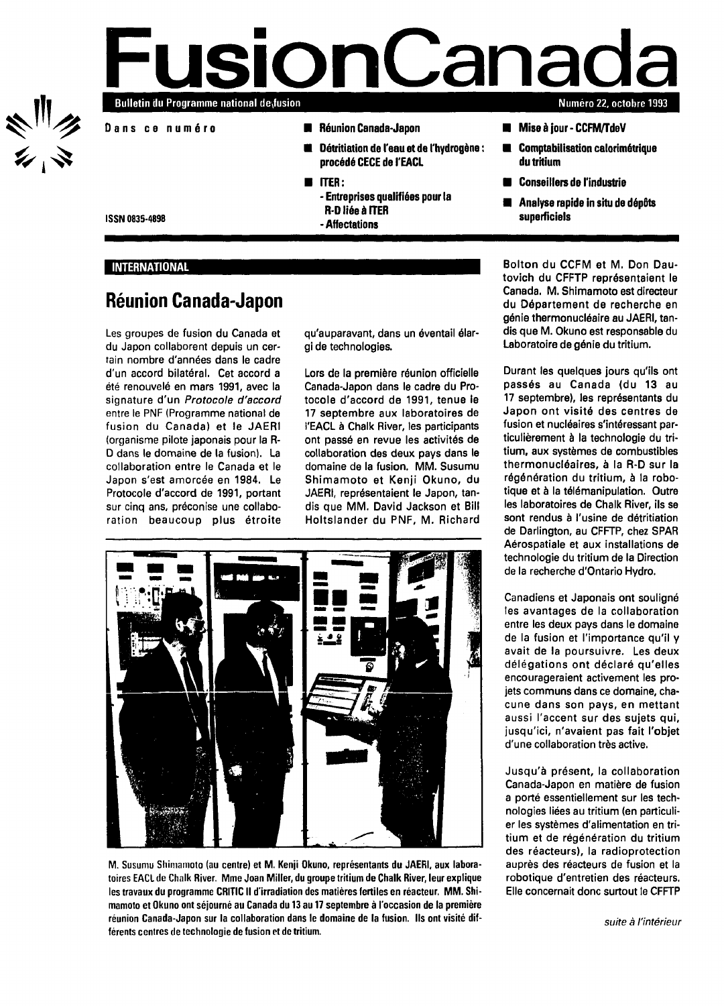ミニク<br>シーマ

# **FusionCanad** Bulletin du Programme national desfusion **a**<br>**a**<br>**a**<br>**a Numéro 22, octobre 1993**

- **Dan s c e numér o**
- **Réunion Canada-Japon**
- **Détritiation de l'eau et de l'hydrogène : procédé CECE de l'EACL**
- **ITER:**
	- **Entreprises qualifiées pour la R-D liée à ITER**
		- **-Affectations**
- **Miseàjour-CCFM/TdeV**
- **Comptabilisation calorimétrique du tritium**
- **Conseillers de l'industrie**
- **Analyse rapide in situ de dépôts superficiels**

**ISSN 0835-4898**

#### **INTERNATIONAL**

# **Réunion Canada-Japon**

Les groupes de fusion du Canada et du Japon collaborent depuis un certain nombre d'années dans le cadre d'un accord bilatéral. Cet accord a été renouvelé en mars 1991, avec la signature d'un Protocole d'accord entre le PNF (Programme national de fusion du Canada) et le JAERI (organisme pilote japonais pour la R-D dans le domaine de la fusion). La collaboration entre le Canada et le Japon s'est amorcée en 1984. Le Protocole d'accord de 1991, portant sur cinq ans, préconise une collaboration beaucoup plus étroite qu'auparavant, dans un éventail élargi de technologies.

Lors de la première réunion officielle Canada-Japon dans le cadre du Protocole d'accord de 1991, tenue le 17 septembre aux laboratoires de l'EACL à Chalk River, les participants ont passé en revue les activités de collaboration des deux pays dans le domaine de la fusion. MM. Susumu Shimamoto et Kenji Okuno, du JAERI, représentaient le Japon, tandis que MM. David Jackson et Bill Holtslander du PNF, M. Richard



**M. Susumu Shimamoto (au centre) et M. Kenji Okuno, représentants du JAERI, aux laboratoires EACL de Chalk River. Mme Joan Miller, du groupe tritium de Chalk River, leur explique les travaux du programme CRITIC II d'irradiation des matières fertiles en réacteur. MM. Shimamoto et Okuno ont séjourné au Canada du 13 au 17 septembre à l'occasion de la première réunion Canada-Japon sur la collaboration dans le domaine de la fusion. Ils ont visité différents centres de technologie de fusion et de tritium.**

Bolton du CCFM et M. Don Dautovich du CFFTP représentaient le Canada. M. Shimamoto est directeur du Département de recherche en génie thermonucléaire au JAERI, tandis que M. Okuno est responsable du Laboratoire de génie du tritium.

Durant les quelques jours qu'ils ont passés au Canada (du 13 au 17 septembre), les représentants du Japon ont visité des centres de fusion et nucléaires s'intéressant particulièrement à la technologie du tritium, aux systèmes de combustibles thermonucléaires, à la R-D sur la régénération du tritium, à la robotique et à la télémanipulation. Outre les laboratoires de Chalk River, ils se sont rendus à l'usine de détritiation de Darlington, au CFFTP, chez SPAR Aérospatiale et aux installations de technologie du tritium de la Direction de la recherche d'Ontario Hydro.

Canadiens et Japonais ont souligné les avantages de la collaboration entre les deux pays dans le domaine de la fusion et l'importance qu'il y avait de la poursuivre. Les deux délégations ont déclaré qu'elles encourageraient activement les projets communs dans ce domaine, chacune dans son pays, en mettant aussi l'accent sur des sujets qui, jusqu'ici, n'avaient pas fait l'objet d'une collaboration très active.

Jusqu'à présent, la collaboration Canada-Japon en matière de fusion a porté essentiellement sur les technologies liées au tritium (en particulier les systèmes d'alimentation en tritium et de régénération du tritium des réacteurs), la radioprotection auprès des réacteurs de fusion et la robotique d'entretien des réacteurs, Elle concernait donc surtout le CFFTP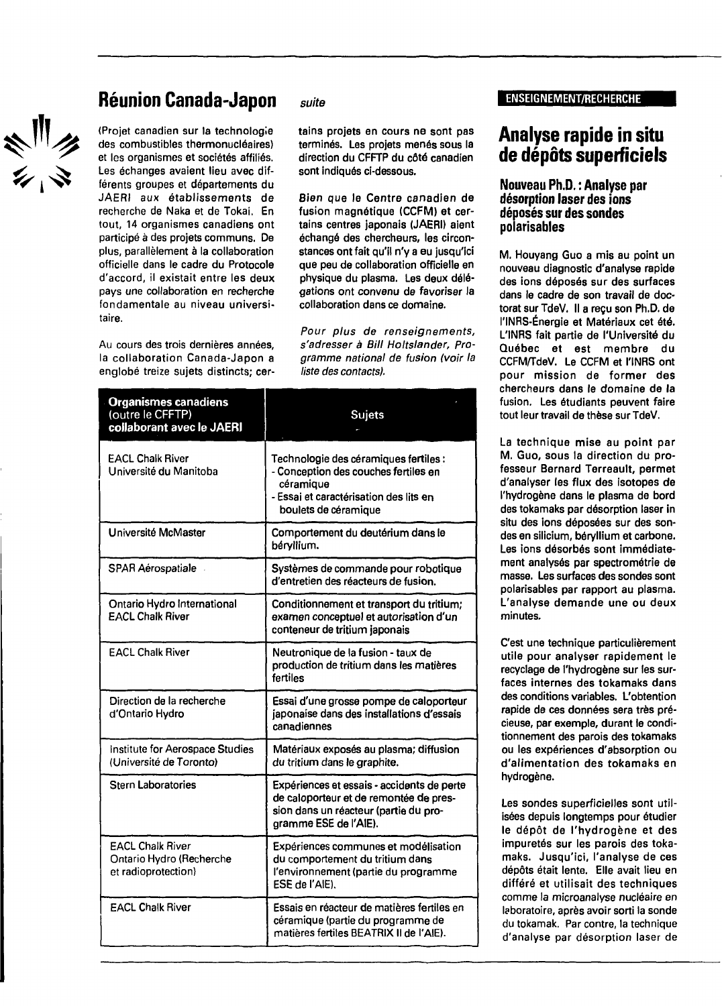# ペ<sup>川</sup>ク<br>シ、マ

# **Réunion Canada-Japon** suite ENSEIGNEMENT/RECHERCHE

(Projet canadien sur la technologie des combustibles thermonucléaires) et les organismes et sociétés affiliés. Les échanges avaient lieu avec différents groupes et départements du JAERI aux établissements de recherche de Naka et de Tokai. En tout, 14 organismes canadiens ont participé à des projets communs. De plus, parallèlement à la collaboration officielle dans le cadre du Protocole d'accord, il existait entre les deux pays une collaboration en recherche fondamentale au niveau universitaire.

Au cours des trois dernières années, la collaboration Canada-Japon a englobé treize sujets distincts; cer-

tains projets en cours ne sont pas terminés. Les projets menés sous la direction du CFFTP du côté canadien sont indiqués ci-dessous.

Bien que le Centre canadien de fusion magnétique (CCFM) et certains centres japonais (JAERI) aient échangé des chercheurs, les circonstances ont fait qu'il n'y a eu jusqu'ici que peu de collaboration officielle en physique du plasma. Les deux délégations ont convenu de favoriser la collaboration dans ce domaine.

Pour plus de renseignements, s'adresser à Bill Holtslander, Programme national de fusion (voir la liste des contacts),

| <b>Organismes canadiens</b><br>(outre le CFFTP)<br>collaborant avec le JAERI | <b>Sujets</b>                                                                                                                                                |
|------------------------------------------------------------------------------|--------------------------------------------------------------------------------------------------------------------------------------------------------------|
| <b>EACL Chalk River</b><br>Université du Manitoba                            | Technologie des céramiques fertiles :<br>- Conception des couches fertiles en<br>céramique<br>- Essai et caractérisation des lits en<br>boulets de céramique |
| Université McMaster                                                          | Comportement du deutérium dans le<br>béryllium.                                                                                                              |
| <b>SPAR Aérospatiale</b>                                                     | Systèmes de commande pour robotique<br>d'entretien des réacteurs de fusion.                                                                                  |
| Ontario Hydro International<br><b>EACL Chalk River</b>                       | Conditionnement et transport du tritium;<br>examen conceptuel et autorisation d'un<br>conteneur de tritium japonais                                          |
| <b>EACL Chalk River</b>                                                      | Neutronique de la fusion - taux de<br>production de tritium dans les matières<br>fertiles                                                                    |
| Direction de la recherche<br>d'Ontario Hydro                                 | Essai d'une grosse pompe de caloporteur<br>japonaise dans des installations d'essais<br>canadiennes                                                          |
| Institute for Aerospace Studies<br>(Université de Toronto)                   | Matériaux exposés au plasma; diffusion<br>du tritium dans le graphite.                                                                                       |
| <b>Stern Laboratories</b>                                                    | Expériences et essais - accidents de perte<br>de caloporteur et de remontée de pres-<br>sion dans un réacteur (partie du pro-<br>gramme ESE de l'AIE).       |
| <b>EACL Chalk River</b><br>Ontario Hydro (Recherche<br>et radioprotection)   | Expériences communes et modélisation<br>du comportement du tritium dans<br>l'environnement (partie du programme<br>ESE de l'AIE).                            |
| <b>EACL Chalk River</b>                                                      | Essais en réacteur de matières fertiles en<br>céramique (partie du programme de<br>matières fertiles BEATRIX II de l'AIE).                                   |

# **Analyse rapide in situ de dépôts superficiels**

### **Nouveau Ph.D. : Analyse par désorption laser des ions déposés sur des sondes polarisables**

M. Houyang Guo a mis au point un nouveau diagnostic d'analyse rapide des ions déposés sur des surfaces dans le cadre de son travail de doctorat sur TdeV. Il a reçu son Ph.D. de l'INRS-Énergie et Matériaux cet été. L'INRS fait partie de l'Université du Québec et est membre du CCFM/TdeV. Le CCFM et l'INRS ont pour mission de former des chercheurs dans le domaine de la fusion. Les étudiants peuvent faire tout leur travail de thèse sur TdeV.

La technique mise au point par M. Guo, sous la direction du professeur Bernard Terreault, permet d'analyser les flux des isotopes de l'hydrogène dans le plasma de bord des tokamaks par désorption laser in situ des ions déposées sur des sondes en silicium, béryllium et carbone. Les ions désorbés sont immédiatement analysés par spectrométrie de masse. Les surfaces des sondes sont polarisables par rapport au plasma. L'analyse demande une ou deux minutes.

C'est une technique particulièrement utile pour analyser rapidement le recyclage de l'hydrogène sur les surfaces internes des tokamaks dans des conditions variables. L'obtention rapide de ces données sera très précieuse, par exemple, durant le conditionnement des parois des tokamaks ou les expériences d'absorption ou d'alimentation des tokamaks en hydrogène.

Les sondes superficielles sont utilisées depuis longtemps pour étudier le dépôt de l'hydrogène et des impuretés sur les parois des tokamaks. Jusqu'ici, l'analyse de ces dépôts était lente. Elle avait lieu en différé et utilisait des techniques comme la microanalyse nucléaire en laboratoire, après avoir sorti la sonde du tokamak. Par contre, la technique d'analyse par désorption laser de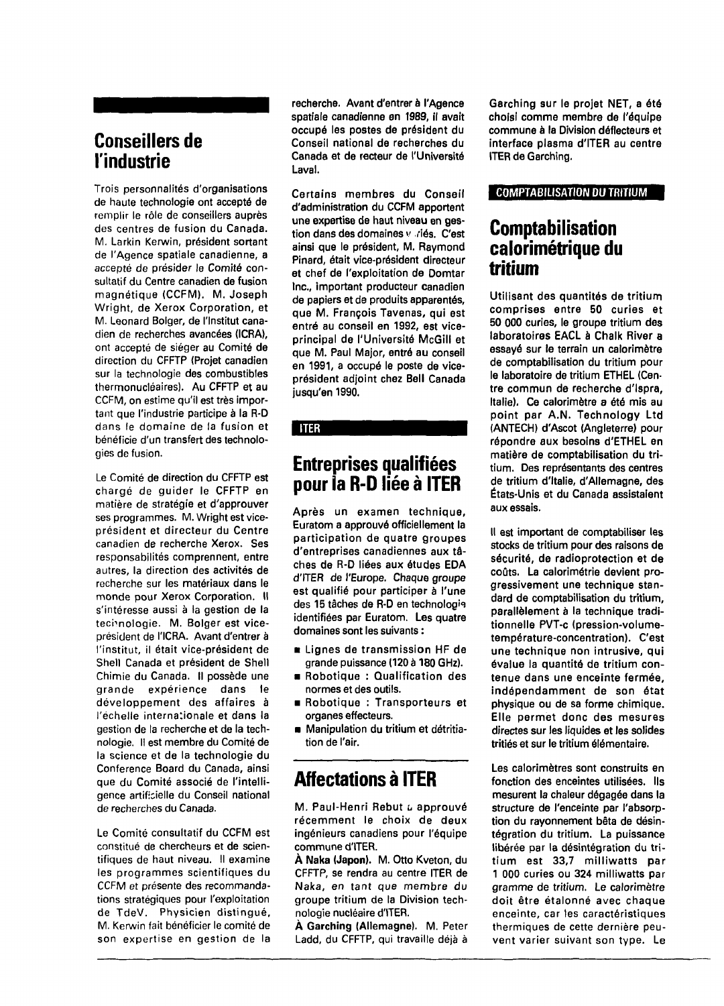# **Conseillers de l'industrie**

Trois personnalités d'organisations de haute technologie ont accepté de remplir le rôle de conseillers auprès des centres de fusion du Canada. M. Larkin Kerwin, président sortant de l'Agence spatiale canadienne, a accepté de présider le Comité consultatif du Centre canadien de fusion magnétique (CCFM). M. Joseph Wright, de Xerox Corporation, et M. Leonard Bolger, de l'Institut canadien de recherches avancées (ICRA), ont accepté de siéger au Comité de direction du CFFTP (Projet canadien sur la technologie des combustibles thermonucléaires). Au CFFTP et au CCFM, on estime qu'il est très important que l'industrie participe à la R-D dans le domaine de la fusion et bénéficie d'un transfert des technologies de fusion.

Le Comité de direction du CFFTP est chargé de guider le CFFTP en matière de stratégie et d'approuver ses programmes. M. Wright est viceprésident et directeur du Centre canadien de recherche Xerox. Ses responsabilités comprennent, entre autres, la direction des activités de recherche sur les matériaux dans le monde pour Xerox Corporation. Il s'intéresse aussi à la gestion de la technologie. M. Bolger est viceprésident de l'ICRA. Avant d'entrer à l'institut, il était vice-président de Shell Canada et président de Shell Chimie du Canada. Il possède une grande expérience dans le développement des affaires à l'échelle internationale et dans la gestion de la recherche et de la technologie. Il est membre du Comité de la science et de la technologie du Conference Board du Canada, ainsi que du Comité associé de l'intelligence artificielle du Conseil national de recherches du Canada.

Le Comité consultatif du CCFM est constitué de chercheurs et de scientifiques de haut niveau. Il examine les programmes scientifiques du CCFM et présente des recommandations stratégiques pour l'exploitation de TdeV. Physicien distingué, M. Kerwin fait bénéficier le comité de son expertise en gestion de la

recherche. Avant d'entrer à l'Agence spatiale canadienne en 1989, il avait occupé les postes de président du Conseil national de recherches du Canada et de recteur de l'Université Laval.

Certains membres du Conseil d'administration du CCFM apportent une expertise de haut niveau en gestion dans des domaines v riés. C'est ainsi que le président, M. Raymond Pinard, était vice-président directeur et chef de l'exploitation de Domtar Inc., important producteur canadien de papiers et de produits apparentés, que M. François Tavenas, qui est entré au conseil en 1992, est viceprincipal de l'Université McGill et que M. Paul Major, entré au conseil en 1991, a occupé le poste de viceprésident adjoint chez Bell Canada jusqu'en 1990.

#### **ITER**

# **Entreprises qualifiées pour la R-D liée à ITER**

Après un examen technique, Euratom a approuvé officiellement la participation de quatre groupes d'entreprises canadiennes aux tâches de R-D liées aux études EDA d'ITER de l'Europe. Chaque groupe est qualifié pour participer à l'une des 15 tâches de R-D en technologie identifiées par Euratom. Les quatre domaines sont les suivants :

- Lignes de transmission HF de grande puissance (120 à 180 GHz).
- Robotique : Qualification des normes et des outils.
- Robotique : Transporteurs et organes effecteurs.
- Manipulation du tritium et détritiation de l'air.

# **Affectations à ITER**

M. Paul-Henri Rebut a approuvé récemment le choix de deux ingénieurs canadiens pour l'équipe commune d'ITER.

À Naka (Japon). M. Otto Kveton, du CFFTP, se rendra au centre ITER de Naka, en tant que membre du groupe tritium de la Division technologie nucléaire d'ITER.

À Garching (Allemagne). M. Peter Ladd, du CFFTP, qui travaille déjà à

Garching sur le projet NET, a été choisi comme membre de l'équipe commune à la Division déflecteurs et interface plasma d'ITER au centre ITER de Garching.

#### COMPTABILISATION DU TRITIUM

# **Comptabilisation calorimétrique du tritium**

Utilisant des quantités de tritium comprises entre 50 curies et 50 000 curies, le groupe tritium des laboratoires EACL à Chalk River a essayé sur le terrain un calorimètre de comptabilisation du tritium pour le laboratoire de tritium ETHEL (Centre commun de recherche d'Ispra, Italie). Ce calorimètre a été mis au point par A.N. Technology Ltd (ANTECH) d'Ascot (Angleterre) pour répondre aux besoins d'ETHEL en matière de comptabilisation du tritium. Des représentants des centres de tritium d'Italie, d'Allemagne, des États-Unis et du Canada assistaient aux essais.

Il est important de comptabiliser les stocks de tritium pour des raisons de sécurité, de radioprotection et de coûts. La calorimétrie devient progressivement une technique standard de comptabilisation du tritium, parallèlement à la technique traditionnelle PVT-c (pression-volumetempérature-concentration). C'est une technique non intrusive, qui évalue la quantité de tritium contenue dans une enceinte fermée, indépendamment de son état physique ou de sa forme chimique. Elle permet donc des mesures directes sur les liquides et les solides tritiés et sur le tritium élémentaire.

Les calorimètres sont construits en fonction des enceintes utilisées. Ils mesurent la chaleur dégagée dans la structure de l'enceinte par l'absorption du rayonnement bêta de désintégration du tritium. La puissance libérée par la désintégration du tritium est 33,7 milliwatts par 1 000 curies ou 324 milliwatts par gramme de tritium. Le calorimètre doit être étalonné avec chaque enceinte, car tes caractéristiques thermiques de cette dernière peuvent varier suivant son type. Le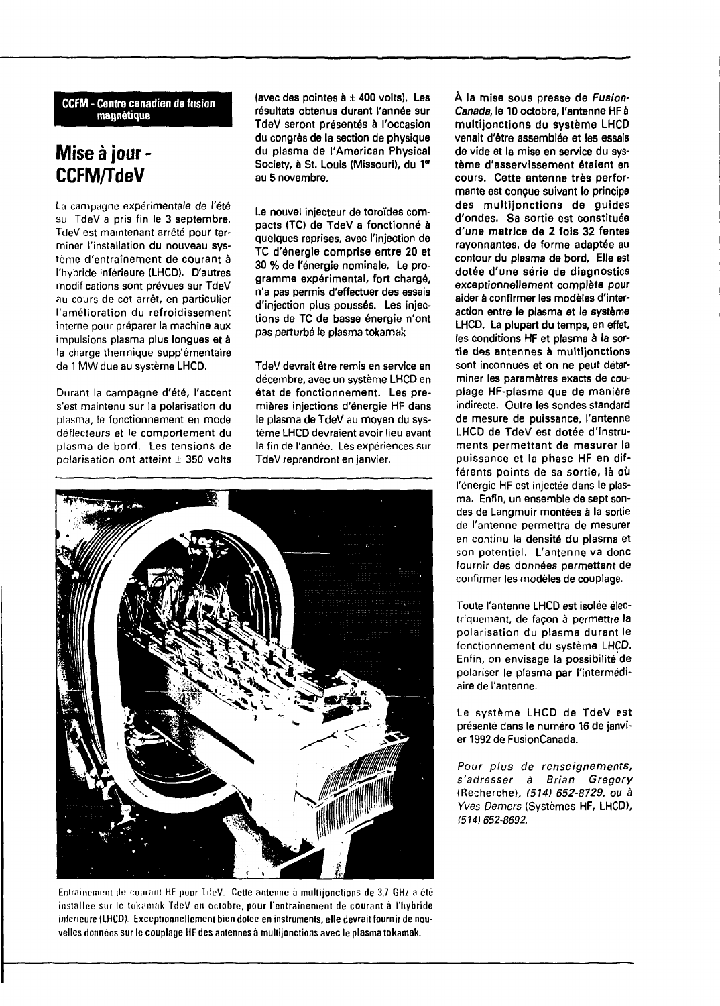**CCFM - Centre canadien de fusion magnétique**

# **Mise à jour - CCFM/TdeV**

La campagne expérimentale de l'été su TdeV a pris fin le 3 septembre. TdeV est maintenant arrêté pour terminer l'installation du nouveau système d'entraînement de courant à l'hybride inférieure (LHCD). D'autres modifications sont prévues sur TdeV au cours de cet arrêt, en particulier l'amélioration du refroidissement interne pour préparer la machine aux impulsions plasma plus longues et à la charge thermique supplémentaire de 1 MW due au système LHCD.

Durant la campagne d'été, l'accent s'est maintenu sur la polarisation du plasma, le fonctionnement en mode déflecteurs et le comportement du plasma de bord. Les tensions de polarisation ont atteint  $\pm$  350 volts (avec des pointes  $a \pm 400$  volts). Les résultats obtenus durant l'année sur TdeV seront présentés à l'occasion du congrès de la section de physique du plasma de l'American Physical Society, à St. Louis (Missouri), du 1<sup>er</sup> au 5 novembre.

Le nouvel injecteur de toroïdes compacts (TC) de TdeV a fonctionné à quelques reprises, avec l'injection de TC d'énergie comprise entre 20 et 30 % de l'énergie nominale. Le programme expérimental, fort chargé, n'a pas permis d'effectuer des essais d'injection plus poussés. Les injections de TC de basse énergie n'ont pas perturbé le plasma tokamak

TdeV devrait être remis en service en décembre, avec un système LHCD en état de fonctionnement. Les premières injections d'énergie HF dans le plasma de TdeV au moyen du système LHCD devraient avoir lieu avant la fin de l'année. Les expériences sur TdeV reprendront en janvier.



Entrainement de courant HF pour 1 de V. Cette antenne à multijonctions de 3,7 GHz a été installce sur le tokamak TdeV en octobre, pour l'entraînement de courant à **l'hybride** inférieure (LHCD). Exceptionnellement bien dotée en instruments, elle devrait fournir de nouvelles données sur le couplage HF des antennes à multijonctions avec le plasma tokamak.

À la mise sous presse de Fusion-Canada, le 10 octobre, l'antenne HFà multijonctions du système LHCD venait d'être assemblée et les essais de vide et la mise en service du système d'asservissement étaient en cours. Cette antenne très performante est conçue suivant le principe des multijonctions de guides d'ondes. Sa sortie est constituée d'une matrice de 2 fois 32 fentes rayonnantes, de forme adaptée au contour du plasma de bord. Elle est dotée d'une série de diagnostics exceptionnellement complète pour aider à confirmer les modèles d'interaction entre le plasma et le système LHCD. La plupart du temps, en effet, les conditions HF et plasma à la sortie des antennes à multijonctions sont inconnues et on ne peut déterminer les paramètres exacts de couplage HF-plasma que de manière indirecte. Outre les sondes standard de mesure de puissance, l'antenne LHCD de TdeV est dotée d'instruments permettant de mesurer la puissance et la phase HF en différents points de sa sortie, là où l'énergie HF est injectée dans le plasma. Enfin, un ensemble de sept sondes de Langmuir montées à la sortie de l'antenne permettra de mesurer den antenne pennettra de mesurer en continu la densité du plasma et son potentiel. L'antenne va donc fournir des données pe<mark>rmettant de</mark><br>confirmer les modèles de couplage.

Toute l'antenne LHCD est isolée électriquement, de façon à permettre la polarisation du plasma durant le fonctionnement du système LHCD. Enfin, on envisage la possibilité de polariser le plasma par l'intermédiaire de l'antenne.

Le système LHCD de TdeV est présenté dans le numéro 16 de janvier 1992 de FusionCanada.

Pour plus de renseignements, s'adresser à Brian Gregory (Recherche), (514) 652-8729, ou à Yves Demers (Systèmes HF, LHCD), 1514) 652-8692.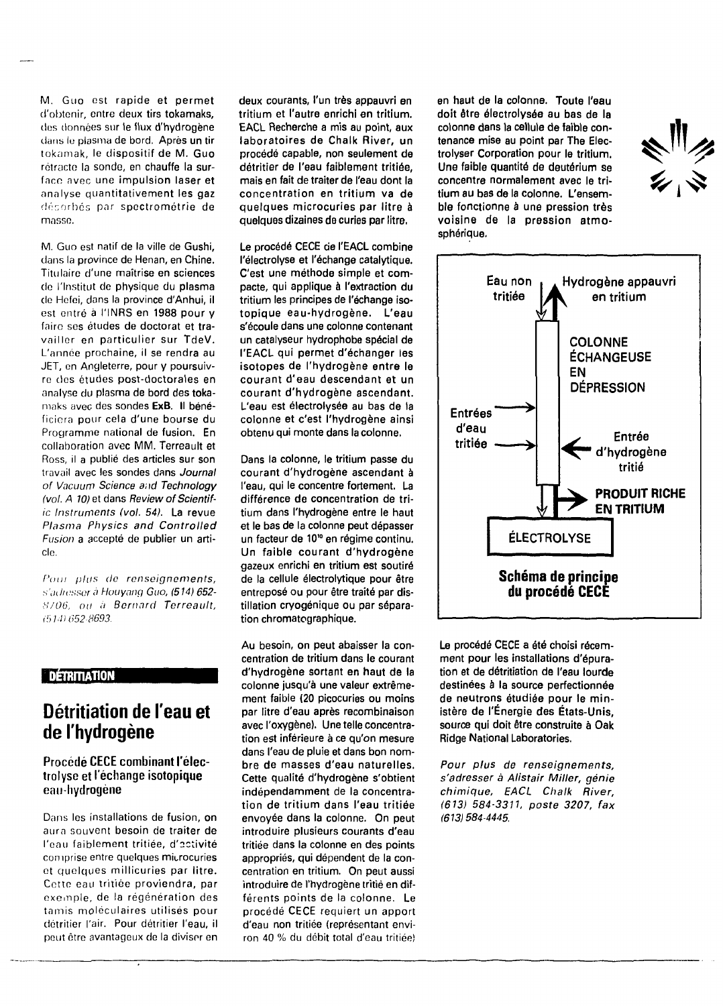M. Guo est rapide **et permet** d'obtenir, entre deux **tirs tokamaks,** dus données sur **le flux d'hydrogène** clans lu plasma de bord. Après un **tir** tokamak, le dispositif **de** M. **Guo** rétracte la sonde, en **chauffe** la surface avec une **impulsion laser et** analyse quantitativement **les gaz** déporb<mark>és par spe**c**trométrie de</mark> masse.

M. Guo est natif de **la** ville de **Gushi,** dans la province de **Henan, en Chine.** Titulaire d'une **maîtrise en sciences** do l'Institut de physique **du plasma** do Hefei, dans la **province d'Anhui, il** est entré à **l'INRS** en **1988 pour y** faire ses études de **doctorat et** travailler en particulier **sur TdeV.** L'année prochaine, il **se rendra** au JET, on Angleterre, **pour y** poursuivre des études post-doctorales en analyse du **plasma de bord des** tokamaks avec des sondes **ExB.** Il bénéficiera pour cela d'une **bourse du** Programme **national** de **fusion. En** collaboration avec **MM. Terreault et** Ross, il a publié des articles **sur son** travail avec les **sondes dans Journal** of Vacuum Science and **Technology** (vol. A 10) et dans Review **of** Scientific Instruments **(vol. 54). La revue** Plasma Physics and **Controlled** Fusion a accepté de publier un article.

Pour plus de renseignements, s'adresser à Houyang Guo, (514) 652-8706, ou à Bernard Terreault, (514) 652-8693.

## **IDÉTRITIATION**

# **Détritiation de l'eau et de l'hydrogène**

## Procédé CECE combinant **l'élec**trolysc et l'échange isotopique eau-hydrogène

Dans les installations de fusion, on aura souvent besoin **de traiter de** l'eau faiblement tritiée, d'activité comprise entre quelques microcuries et quelques millicuries par litre. Cotte eau tritiée proviendra, par exemple, de la régénération des tamis moléculaires utilisés pour détritier l'air. Pour détritier l'eau, il peut être avantageux de la diviser en **deux courants, l'un très appauvri en tritium et l'autre enrichi en tritium. EACL Recherche a mis au point, aux laboratoires de Chalk River, un procédé capable, non seulement de détritier de l'eau faiblement tritiée, mais en fait de traiter de l'eau dont la concentration en tritium va de quelques microcuries par litre à quelques dizaines de curies par litre,**

**Le procédé CECE de l'EACL combine l'électrolyse et l'échange catalytique. C'est une méthode simple et compacte, qui applique à l'extraction du tritium les principes de l'échange isotopique eau-hydrogène. L'eau s'écoule dans une colonne contenant un catalyseur hydrophobe spécial de l'EACL qui permet d'échanger les isotopes de l'hydrogène entre le courant d'eau descendant et un courant d'hydrogène ascendant. L'eau est électrolysée au bas de la colonne et c'est l'hydrogène ainsi obtenu qui monte dans la colonne.**

**Dans la colonne, le tritium passe du courant d'hydrogène ascendant à l'eau, qui le concentre fortement. La différence de concentration de tritium dans l'hydrogène entre le haut et le bas de la colonne peut dépasser un facteur de 10'° en régime continu. Un faible courant d'hydrogène gazeux enrichi en tritium est soutiré de la cellule électrolytique pour être entreposé ou pour être traité par distillation cryogénique ou par séparation chromatographique.**

**Au besoin, on peut abaisser la concentration de tritium dans le courant d'hydrogène sortant en haut de la colonne jusqu'à une valeur extrêmement faible (20 picocuries ou moins par litre d'eau après recombinaison avec l'oxygène). Une telle concentration est inférieure à ce qu'on mesure dans l'eau de pluie et dans bon nombre de masses d'eau naturelles. Cette qualité d'hydrogène s'obtient indépendamment de la concentration de tritium dans l'eau tritiée envoyée dans la colonne. On peut introduire plusieurs courants d'eau tritiée dans la colonne en des points appropriés, qui dépendent de la concentration en tritium. On peut aussi introduire de l'hydrogène tritié en différents points** de **la colonne.** Le procédé **CECE** requiert **un apport d'eau non tritiée (représentant** environ **40** % du débit total d'eau tritiéeî

en haut de la colonne. Toute l'eau doit être électrolysée au bas de la colonne dans la cellule de faible contenance mise au point par The Electrolyser Corporation pour le tritium. Une faible quantité de deuterium se concentre normalement avec le tritium au bas de la colonne. L'ensemble fonctionne à une pression très voisine de la pression atmosphérique.





Le procédé CECE a été choisi récemment pour les installations d'épuration et de détritiation de l'eau lourde destinées à la source perfectionnée de neutrons étudiée pour le ministère de l'Énergie des États-Unis, source qui doit être construite à Oak Ridge National Laboratories.

Pour plus de renseignements, s'adresser à Alistair Miller, génie chimique, EACL Chalk River, (613) 584-3311, poste 3207, fax (613)584-4445.